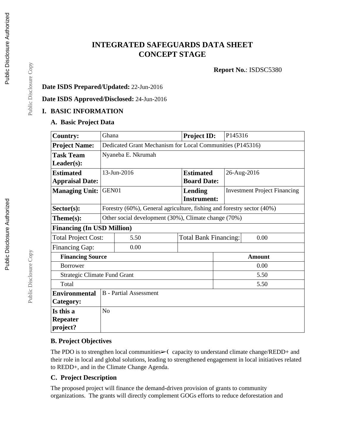# **INTEGRATED SAFEGUARDS DATA SHEET CONCEPT STAGE**

**Report No.**: ISDSC5380

### **Date ISDS Prepared/Updated:** 22-Jun-2016

#### **Date ISDS Approved/Disclosed:** 24-Jun-2016

### **I. BASIC INFORMATION**

#### **A. Basic Project Data**

| <b>Country:</b>                     | Ghana                                                     |                                                                        | <b>Project ID:</b> | P145316                              |                                     |  |  |
|-------------------------------------|-----------------------------------------------------------|------------------------------------------------------------------------|--------------------|--------------------------------------|-------------------------------------|--|--|
| <b>Project Name:</b>                | Dedicated Grant Mechanism for Local Communities (P145316) |                                                                        |                    |                                      |                                     |  |  |
| <b>Task Team</b>                    | Nyaneba E. Nkrumah                                        |                                                                        |                    |                                      |                                     |  |  |
| Leader(s):                          |                                                           |                                                                        |                    |                                      |                                     |  |  |
| <b>Estimated</b>                    | 13-Jun-2016                                               |                                                                        | <b>Estimated</b>   |                                      | 26-Aug-2016                         |  |  |
| <b>Appraisal Date:</b>              |                                                           |                                                                        | <b>Board Date:</b> |                                      |                                     |  |  |
| <b>Managing Unit:</b>               | GEN01<br><b>Lending</b>                                   |                                                                        |                    |                                      | <b>Investment Project Financing</b> |  |  |
|                                     |                                                           |                                                                        | <b>Instrument:</b> |                                      |                                     |  |  |
| Sector(s):                          |                                                           | Forestry (60%), General agriculture, fishing and forestry sector (40%) |                    |                                      |                                     |  |  |
| Theme(s):                           | Other social development (30%), Climate change (70%)      |                                                                        |                    |                                      |                                     |  |  |
| <b>Financing (In USD Million)</b>   |                                                           |                                                                        |                    |                                      |                                     |  |  |
| <b>Total Project Cost:</b>          |                                                           | 5.50                                                                   |                    | <b>Total Bank Financing:</b><br>0.00 |                                     |  |  |
| <b>Financing Gap:</b>               |                                                           | 0.00                                                                   |                    |                                      |                                     |  |  |
| <b>Financing Source</b>             |                                                           |                                                                        |                    | <b>Amount</b>                        |                                     |  |  |
| <b>Borrower</b>                     |                                                           |                                                                        |                    | 0.00                                 |                                     |  |  |
| <b>Strategic Climate Fund Grant</b> |                                                           |                                                                        |                    |                                      | 5.50                                |  |  |
| Total                               |                                                           |                                                                        |                    | 5.50                                 |                                     |  |  |
| <b>Environmental</b>                |                                                           | <b>B</b> - Partial Assessment                                          |                    |                                      |                                     |  |  |
| Category:                           |                                                           |                                                                        |                    |                                      |                                     |  |  |
| Is this a                           | N <sub>o</sub>                                            |                                                                        |                    |                                      |                                     |  |  |
| Repeater                            |                                                           |                                                                        |                    |                                      |                                     |  |  |
| project?                            |                                                           |                                                                        |                    |                                      |                                     |  |  |

### **B. Project Objectives**

The PDO is to strengthen local communities► (capacity to understand climate change/REDD+ and their role in local and global solutions, leading to strengthened engagement in local initiatives related to REDD+, and in the Climate Change Agenda.

#### **C. Project Description**

The proposed project will finance the demand-driven provision of grants to community organizations. The grants will directly complement GOGs efforts to reduce deforestation and

Public Disclosure Copy

Public Disclosure Copy

Public Disclosure Copy

Public Disclosure Copy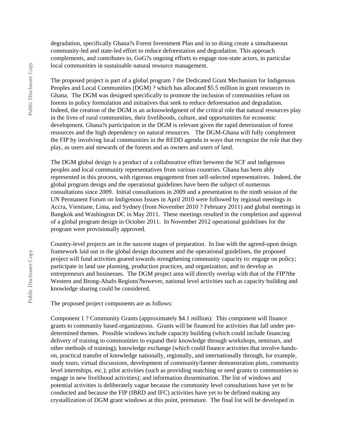degradation, specifically Ghana?s Forest Investment Plan and in so doing create a simultaneous community-led and state-led effort to reduce deforestation and degradation. This approach complements, and contributes to, GoG?s ongoing efforts to engage non-state actors, in particular local communities in sustainable natural resource management.

The proposed project is part of a global program ? the Dedicated Grant Mechanism for Indigenous Peoples and Local Communities (DGM) ? which has allocated \$5.5 million in grant resources to Ghana. The DGM was designed specifically to promote the inclusion of communities reliant on forests in policy formulation and initiatives that seek to reduce deforestation and degradation. Indeed, the creation of the DGM is an acknowledgment of the critical role that natural resources play in the lives of rural communities, their livelihoods, culture, and opportunities for economic development. Ghana?s participation in the DGM is relevant given the rapid deterioration of forest resources and the high dependency on natural resources. The DGM-Ghana will fully complement the FIP by involving local communities in the REDD agenda in ways that recognize the role that they play, as users and stewards of the forests and as owners and users of land.

The DGM global design is a product of a collaborative effort between the SCF and indigenous peoples and local community representatives from various countries. Ghana has been ably represented in this process, with rigorous engagement from self-selected representatives. Indeed, the global program design and the operational guidelines have been the subject of numerous consultations since 2009. Initial consultations in 2009 and a presentation to the ninth session of the UN Permanent Forum on Indigenous Issues in April 2010 were followed by regional meetings in Accra, Vientiane, Lima, and Sydney (from November 2010 ? February 2011) and global meetings in Bangkok and Washington DC in May 2011. These meetings resulted in the completion and approval of a global program design in October 2011. In November 2012 operational guidelines for the program were provisionally approved.

Country-level projects are in the nascent stages of preparation. In line with the agreed-upon design framework laid out in the global design document and the operational guidelines, the proposed project will fund activities geared towards strengthening community capacity to: engage on policy; participate in land use planning, production practices, and organization; and to develop as entrepreneurs and businesses. The DGM project area will directly overlap with that of the FIP?the Western and Brong-Ahafo Regions?however, national level activities such as capacity building and knowledge sharing could be considered.

The proposed project components are as follows:

Component 1 ? Community Grants (approximately \$4.1 million): This component will finance grants to community based organizations. Grants will be financed for activities that fall under predetermined themes. Possible windows include capacity building (which could include financing delivery of training to communities to expand their knowledge through workshops, seminars, and other methods of training); knowledge exchange (which could finance activities that involve handson, practical transfer of knowledge nationally, regionally, and internationally through, for example, study tours, virtual discussions, development of community/farmer demonstration plots, community level internships, etc.); pilot activities (such as providing matching or seed grants to communities to engage in new livelihood activities); and information dissemination. The list of windows and potential activities is deliberately vague because the community level consultations have yet to be conducted and because the FIP (IBRD and IFC) activities have yet to be defined making any crystallization of DGM grant windows at this point, premature. The final list will be developed in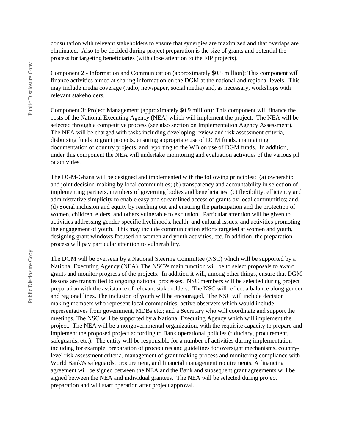consultation with relevant stakeholders to ensure that synergies are maximized and that overlaps are eliminated. Also to be decided during project preparation is the size of grants and potential the process for targeting beneficiaries (with close attention to the FIP projects).

Component 2 - Information and Communication (approximately \$0.5 million): This component will finance activities aimed at sharing information on the DGM at the national and regional levels. This may include media coverage (radio, newspaper, social media) and, as necessary, workshops with relevant stakeholders.

Component 3: Project Management (approximately \$0.9 million): This component will finance the costs of the National Executing Agency (NEA) which will implement the project. The NEA will be selected through a competitive process (see also section on Implementation Agency Assessment). The NEA will be charged with tasks including developing review and risk assessment criteria, disbursing funds to grant projects, ensuring appropriate use of DGM funds, maintaining documentation of country projects, and reporting to the WB on use of DGM funds. In addition, under this component the NEA will undertake monitoring and evaluation activities of the various pil ot activities.

The DGM-Ghana will be designed and implemented with the following principles: (a) ownership and joint decision-making by local communities; (b) transparency and accountability in selection of implementing partners, members of governing bodies and beneficiaries; (c) flexibility, efficiency and administrative simplicity to enable easy and streamlined access of grants by local communities; and, (d) Social inclusion and equity by reaching out and ensuring the participation and the protection of women, children, elders, and others vulnerable to exclusion. Particular attention will be given to activities addressing gender-specific livelihoods, health, and cultural issues, and activities promoting the engagement of youth. This may include communication efforts targeted at women and youth, designing grant windows focused on women and youth activities, etc. In addition, the preparation process will pay particular attention to vulnerability.

The DGM will be overseen by a National Steering Committee (NSC) which will be supported by a National Executing Agency (NEA). The NSC?s main function will be to select proposals to award grants and monitor progress of the projects. In addition it will, among other things, ensure that DGM lessons are transmitted to ongoing national processes. NSC members will be selected during project preparation with the assistance of relevant stakeholders. The NSC will reflect a balance along gender and regional lines. The inclusion of youth will be encouraged. The NSC will include decision making members who represent local communities; active observers which would include representatives from government, MDBs etc.; and a Secretary who will coordinate and support the meetings. The NSC will be supported by a National Executing Agency which will implement the project. The NEA will be a nongovernmental organization, with the requisite capacity to prepare and implement the proposed project according to Bank operational policies (fiduciary, procurement, safeguards, etc.). The entity will be responsible for a number of activities during implementation including for example, preparation of procedures and guidelines for oversight mechanisms, countrylevel risk assessment criteria, management of grant making process and monitoring compliance with World Bank?s safeguards, procurement, and financial management requirements. A financing agreement will be signed between the NEA and the Bank and subsequent grant agreements will be signed between the NEA and individual grantees. The NEA will be selected during project preparation and will start operation after project approval.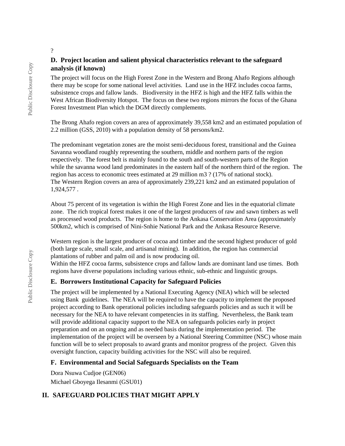### **D. Project location and salient physical characteristics relevant to the safeguard analysis (if known)**

The project will focus on the High Forest Zone in the Western and Brong Ahafo Regions although there may be scope for some national level activities. Land use in the HFZ includes cocoa farms, subsistence crops and fallow lands. Biodiversity in the HFZ is high and the HFZ falls within the West African Biodiversity Hotspot. The focus on these two regions mirrors the focus of the Ghana Forest Investment Plan which the DGM directly complements.

The Brong Ahafo region covers an area of approximately 39,558 km2 and an estimated population of 2.2 million (GSS, 2010) with a population density of 58 persons/km2.

The predominant vegetation zones are the moist semi-deciduous forest, transitional and the Guinea Savanna woodland roughly representing the southern, middle and northern parts of the region respectively. The forest belt is mainly found to the south and south-western parts of the Region while the savanna wood land predominates in the eastern half of the northern third of the region. The region has access to economic trees estimated at 29 million m3 ? (17% of national stock). The Western Region covers an area of approximately 239,221 km2 and an estimated population of 1,924,577 .

About 75 percent of its vegetation is within the High Forest Zone and lies in the equatorial climate zone. The rich tropical forest makes it one of the largest producers of raw and sawn timbers as well as processed wood products. The region is home to the Ankasa Conservation Area (approximately 500km2, which is comprised of Nini-Snhie National Park and the Ankasa Resource Reserve.

Western region is the largest producer of cocoa and timber and the second highest producer of gold (both large scale, small scale, and artisanal mining). In addition, the region has commercial plantations of rubber and palm oil and is now producing oil.

Within the HFZ cocoa farms, subsistence crops and fallow lands are dominant land use times. Both regions have diverse populations including various ethnic, sub-ethnic and linguistic groups.

#### **E. Borrowers Institutional Capacity for Safeguard Policies**

The project will be implemented by a National Executing Agency (NEA) which will be selected using Bank guidelines. The NEA will be required to have the capacity to implement the proposed project according to Bank operational policies including safeguards policies and as such it will be necessary for the NEA to have relevant competencies in its staffing. Nevertheless, the Bank team will provide additional capacity support to the NEA on safeguards policies early in project preparation and on an ongoing and as needed basis during the implementation period. The implementation of the project will be overseen by a National Steering Committee (NSC) whose main function will be to select proposals to award grants and monitor progress of the project. Given this oversight function, capacity building activities for the NSC will also be required.

### **F. Environmental and Social Safeguards Specialists on the Team**

Dora Nsuwa Cudjoe (GEN06) Michael Gboyega Ilesanmi (GSU01)

## **II. SAFEGUARD POLICIES THAT MIGHT APPLY**

?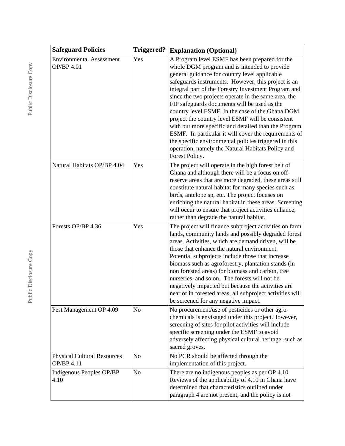| <b>Safeguard Policies</b>                        | <b>Triggered?</b> | <b>Explanation (Optional)</b>                                                                                                                                                                                                                                                                                                                                                                                                                                                                                                                                                                                                                                                                                                    |  |
|--------------------------------------------------|-------------------|----------------------------------------------------------------------------------------------------------------------------------------------------------------------------------------------------------------------------------------------------------------------------------------------------------------------------------------------------------------------------------------------------------------------------------------------------------------------------------------------------------------------------------------------------------------------------------------------------------------------------------------------------------------------------------------------------------------------------------|--|
| <b>Environmental Assessment</b><br>OP/BP 4.01    | Yes               | A Program level ESMF has been prepared for the<br>whole DGM program and is intended to provide<br>general guidance for country level applicable<br>safeguards instruments. However, this project is an<br>integral part of the Forestry Investment Program and<br>since the two projects operate in the same area, the<br>FIP safeguards documents will be used as the<br>country level ESMF. In the case of the Ghana DGM<br>project the country level ESMF will be consistent<br>with but more specific and detailed than the Program<br>ESMF. In particular it will cover the requirements of<br>the specific environmental policies triggered in this<br>operation, namely the Natural Habitats Policy and<br>Forest Policy. |  |
| Natural Habitats OP/BP 4.04                      | Yes               | The project will operate in the high forest belt of<br>Ghana and although there will be a focus on off-<br>reserve areas that are more degraded, these areas still<br>constitute natural habitat for many species such as<br>birds, antelope sp, etc. The project focuses on<br>enriching the natural habitat in these areas. Screening<br>will occur to ensure that project activities enhance,<br>rather than degrade the natural habitat.                                                                                                                                                                                                                                                                                     |  |
| Forests OP/BP 4.36                               | Yes               | The project will finance subproject activities on farm<br>lands, community lands and possibly degraded forest<br>areas. Activities, which are demand driven, will be<br>those that enhance the natural environment.<br>Potential subprojects include those that increase<br>biomass such as agroforestry, plantation stands (in<br>non forested areas) for biomass and carbon, tree<br>nurseries, and so on. The forests will not be<br>negatively impacted but because the activities are<br>near or in forested areas, all subproject activities will<br>be screened for any negative impact.                                                                                                                                  |  |
| Pest Management OP 4.09                          | N <sub>o</sub>    | No procurement/use of pesticides or other agro-<br>chemicals is envisaged under this project. However,<br>screening of sites for pilot activities will include<br>specific screening under the ESMF to avoid<br>adversely affecting physical cultural heritage, such as<br>sacred groves.                                                                                                                                                                                                                                                                                                                                                                                                                                        |  |
| <b>Physical Cultural Resources</b><br>OP/BP 4.11 | N <sub>o</sub>    | No PCR should be affected through the<br>implementation of this project.                                                                                                                                                                                                                                                                                                                                                                                                                                                                                                                                                                                                                                                         |  |
| Indigenous Peoples OP/BP<br>4.10                 | N <sub>o</sub>    | There are no indigenous peoples as per OP 4.10.<br>Reviews of the applicability of 4.10 in Ghana have<br>determined that characteristics outlined under<br>paragraph 4 are not present, and the policy is not                                                                                                                                                                                                                                                                                                                                                                                                                                                                                                                    |  |